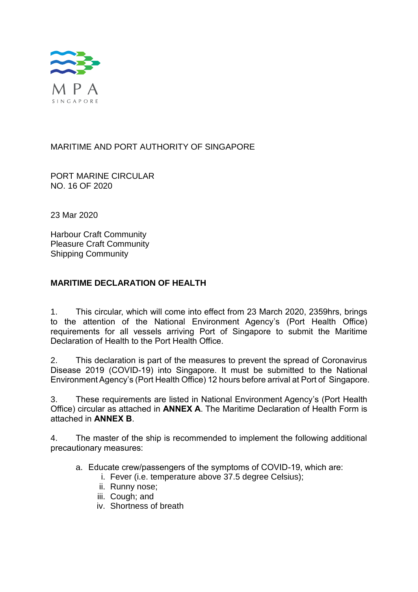

# MARITIME AND PORT AUTHORITY OF SINGAPORE

PORT MARINE CIRCULAR NO. 16 OF 2020

23 Mar 2020

Harbour Craft Community Pleasure Craft Community Shipping Community

# **MARITIME DECLARATION OF HEALTH**

1. This circular, which will come into effect from 23 March 2020, 2359hrs, brings to the attention of the National Environment Agency's (Port Health Office) requirements for all vessels arriving Port of Singapore to submit the Maritime Declaration of Health to the Port Health Office.

2. This declaration is part of the measures to prevent the spread of Coronavirus Disease 2019 (COVID-19) into Singapore. It must be submitted to the National Environment Agency's (Port Health Office) 12 hours before arrival at Port of Singapore.

3. These requirements are listed in National Environment Agency's (Port Health Office) circular as attached in **ANNEX A**. The Maritime Declaration of Health Form is attached in **ANNEX B**.

4. The master of the ship is recommended to implement the following additional precautionary measures:

- a. Educate crew/passengers of the symptoms of COVID-19, which are:
	- i. Fever (i.e. temperature above 37.5 degree Celsius);
		- ii. Runny nose;
		- iii. Cough: and
		- iv. Shortness of breath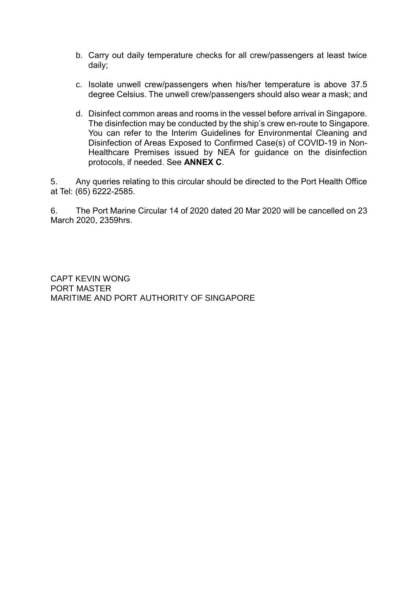- b. Carry out daily temperature checks for all crew/passengers at least twice daily;
- c. Isolate unwell crew/passengers when his/her temperature is above 37.5 degree Celsius. The unwell crew/passengers should also wear a mask; and
- d. Disinfect common areas and rooms in the vessel before arrival in Singapore. The disinfection may be conducted by the ship's crew en-route to Singapore. You can refer to the Interim Guidelines for Environmental Cleaning and Disinfection of Areas Exposed to Confirmed Case(s) of COVID-19 in Non-Healthcare Premises issued by NEA for guidance on the disinfection protocols, if needed. See **ANNEX C**.

5. Any queries relating to this circular should be directed to the Port Health Office at Tel: (65) 6222-2585.

6. The Port Marine Circular 14 of 2020 dated 20 Mar 2020 will be cancelled on 23 March 2020, 2359hrs.

CAPT KEVIN WONG PORT MASTER MARITIME AND PORT AUTHORITY OF SINGAPORE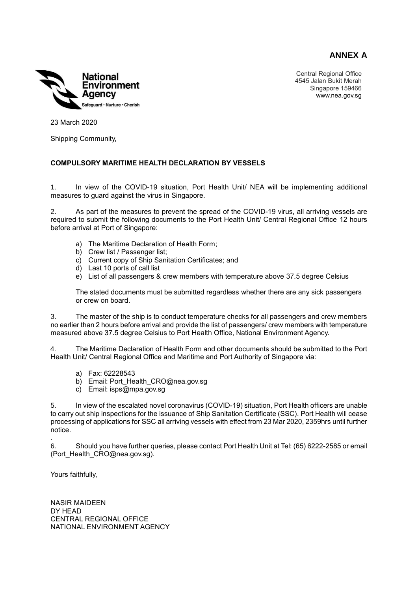**ANNEX A**



Central Regional Office 4545 Jalan Bukit Merah Singapore 159466 www.nea.gov.sg

23 March 2020

Shipping Community,

# **COMPULSORY MARITIME HEALTH DECLARATION BY VESSELS**

1. In view of the COVID-19 situation, Port Health Unit/ NEA will be implementing additional measures to guard against the virus in Singapore.

2. As part of the measures to prevent the spread of the COVID-19 virus, all arriving vessels are required to submit the following documents to the Port Health Unit/ Central Regional Office 12 hours before arrival at Port of Singapore:

- a) The Maritime Declaration of Health Form;
- b) Crew list / Passenger list;
- c) Current copy of Ship Sanitation Certificates; and
- d) Last 10 ports of call list
- e) List of all passengers & crew members with temperature above 37.5 degree Celsius

The stated documents must be submitted regardless whether there are any sick passengers or crew on board.

3. The master of the ship is to conduct temperature checks for all passengers and crew members no earlier than 2 hours before arrival and provide the list of passengers/ crew members with temperature measured above 37.5 degree Celsius to Port Health Office, National Environment Agency.

4. The Maritime Declaration of Health Form and other documents should be submitted to the Port Health Unit/ Central Regional Office and Maritime and Port Authority of Singapore via:

- a) Fax: 62228543
- b) Email: Port Health CRO@nea.gov.sg
- c) Email: isps@mpa.gov.sg

5. In view of the escalated novel coronavirus (COVID-19) situation, Port Health officers are unable to carry out ship inspections for the issuance of Ship Sanitation Certificate (SSC). Port Health will cease processing of applications for SSC all arriving vessels with effect from 23 Mar 2020, 2359hrs until further notice.

6. Should you have further queries, please contact Port Health Unit at Tel: (65) 6222-2585 or email (Port Health CRO@nea.gov.sg).

Yours faithfully,

.

NASIR MAIDEEN DY HEAD CENTRAL REGIONAL OFFICE NATIONAL ENVIRONMENT AGENCY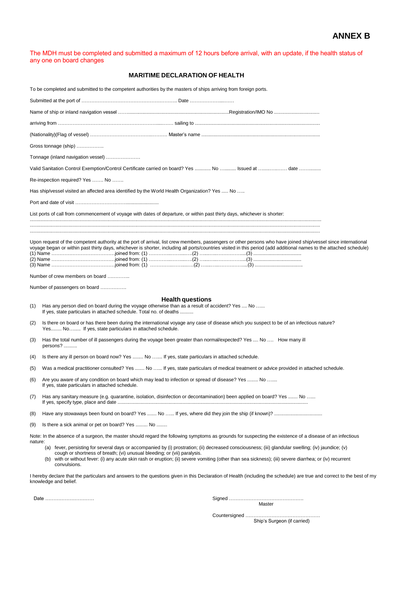The MDH must be completed and submitted a maximum of 12 hours before arrival, with an update, if the health status of any one on board changes

# **MARITIME DECLARATION OF HEALTH**

| To be completed and submitted to the competent authorities by the masters of ships arriving from foreign ports.                                                                                 |                                                                                                                                                                                                                                                                                                                                                                                                                                                                                                                                                                             |  |  |  |  |  |
|-------------------------------------------------------------------------------------------------------------------------------------------------------------------------------------------------|-----------------------------------------------------------------------------------------------------------------------------------------------------------------------------------------------------------------------------------------------------------------------------------------------------------------------------------------------------------------------------------------------------------------------------------------------------------------------------------------------------------------------------------------------------------------------------|--|--|--|--|--|
|                                                                                                                                                                                                 |                                                                                                                                                                                                                                                                                                                                                                                                                                                                                                                                                                             |  |  |  |  |  |
|                                                                                                                                                                                                 |                                                                                                                                                                                                                                                                                                                                                                                                                                                                                                                                                                             |  |  |  |  |  |
|                                                                                                                                                                                                 |                                                                                                                                                                                                                                                                                                                                                                                                                                                                                                                                                                             |  |  |  |  |  |
|                                                                                                                                                                                                 |                                                                                                                                                                                                                                                                                                                                                                                                                                                                                                                                                                             |  |  |  |  |  |
|                                                                                                                                                                                                 | Gross tonnage (ship)                                                                                                                                                                                                                                                                                                                                                                                                                                                                                                                                                        |  |  |  |  |  |
|                                                                                                                                                                                                 | Tonnage (inland navigation vessel)                                                                                                                                                                                                                                                                                                                                                                                                                                                                                                                                          |  |  |  |  |  |
|                                                                                                                                                                                                 | Valid Sanitation Control Exemption/Control Certificate carried on board? Yes  No  Issued at  date                                                                                                                                                                                                                                                                                                                                                                                                                                                                           |  |  |  |  |  |
|                                                                                                                                                                                                 | Re-inspection required? Yes  No                                                                                                                                                                                                                                                                                                                                                                                                                                                                                                                                             |  |  |  |  |  |
|                                                                                                                                                                                                 | Has ship/vessel visited an affected area identified by the World Health Organization? Yes  No                                                                                                                                                                                                                                                                                                                                                                                                                                                                               |  |  |  |  |  |
|                                                                                                                                                                                                 |                                                                                                                                                                                                                                                                                                                                                                                                                                                                                                                                                                             |  |  |  |  |  |
|                                                                                                                                                                                                 | List ports of call from commencement of voyage with dates of departure, or within past thirty days, whichever is shorter:                                                                                                                                                                                                                                                                                                                                                                                                                                                   |  |  |  |  |  |
|                                                                                                                                                                                                 |                                                                                                                                                                                                                                                                                                                                                                                                                                                                                                                                                                             |  |  |  |  |  |
|                                                                                                                                                                                                 | Upon request of the competent authority at the port of arrival, list crew members, passengers or other persons who have joined ship/vessel since international<br>voyage began or within past thirty days, whichever is shorter, including all ports/countries visited in this period (add additional names to the attached schedule)                                                                                                                                                                                                                                       |  |  |  |  |  |
|                                                                                                                                                                                                 | Number of crew members on board                                                                                                                                                                                                                                                                                                                                                                                                                                                                                                                                             |  |  |  |  |  |
|                                                                                                                                                                                                 | Number of passengers on board                                                                                                                                                                                                                                                                                                                                                                                                                                                                                                                                               |  |  |  |  |  |
| (1)                                                                                                                                                                                             | <b>Health questions</b><br>Has any person died on board during the voyage otherwise than as a result of accident? Yes  No<br>If yes, state particulars in attached schedule. Total no. of deaths                                                                                                                                                                                                                                                                                                                                                                            |  |  |  |  |  |
| (2)                                                                                                                                                                                             | Is there on board or has there been during the international voyage any case of disease which you suspect to be of an infectious nature?<br>Yes No If yes, state particulars in attached schedule.                                                                                                                                                                                                                                                                                                                                                                          |  |  |  |  |  |
| (3)                                                                                                                                                                                             | Has the total number of ill passengers during the voyage been greater than normal/expected? Yes  No  How many ill<br>persons?                                                                                                                                                                                                                                                                                                                                                                                                                                               |  |  |  |  |  |
| (4)                                                                                                                                                                                             | Is there any ill person on board now? Yes  No  If yes, state particulars in attached schedule.                                                                                                                                                                                                                                                                                                                                                                                                                                                                              |  |  |  |  |  |
| (5)                                                                                                                                                                                             | Was a medical practitioner consulted? Yes  No  If yes, state particulars of medical treatment or advice provided in attached schedule.                                                                                                                                                                                                                                                                                                                                                                                                                                      |  |  |  |  |  |
| (6)                                                                                                                                                                                             | Are you aware of any condition on board which may lead to infection or spread of disease? Yes  No<br>If yes, state particulars in attached schedule.                                                                                                                                                                                                                                                                                                                                                                                                                        |  |  |  |  |  |
| (7)                                                                                                                                                                                             | Has any sanitary measure (e.g. quarantine, isolation, disinfection or decontamination) been applied on board? Yes  No                                                                                                                                                                                                                                                                                                                                                                                                                                                       |  |  |  |  |  |
| (8)                                                                                                                                                                                             |                                                                                                                                                                                                                                                                                                                                                                                                                                                                                                                                                                             |  |  |  |  |  |
| Is there a sick animal or pet on board? Yes  No<br>(9)                                                                                                                                          |                                                                                                                                                                                                                                                                                                                                                                                                                                                                                                                                                                             |  |  |  |  |  |
| nature:                                                                                                                                                                                         | Note: In the absence of a surgeon, the master should regard the following symptoms as grounds for suspecting the existence of a disease of an infectious<br>(a) fever, persisting for several days or accompanied by (i) prostration; (ii) decreased consciousness; (iii) glandular swelling; (iv) jaundice; (v)<br>cough or shortness of breath; (vi) unusual bleeding; or (vii) paralysis.<br>with or without fever: (i) any acute skin rash or eruption; (ii) severe vomiting (other than sea sickness); (iii) severe diarrhea; or (iv) recurrent<br>(b)<br>convulsions. |  |  |  |  |  |
| I hereby declare that the particulars and answers to the questions given in this Declaration of Health (including the schedule) are true and correct to the best of my<br>knowledge and belief. |                                                                                                                                                                                                                                                                                                                                                                                                                                                                                                                                                                             |  |  |  |  |  |
|                                                                                                                                                                                                 | Date<br>Master                                                                                                                                                                                                                                                                                                                                                                                                                                                                                                                                                              |  |  |  |  |  |

Countersigned ………………………………………. Ship's Surgeon (if carried)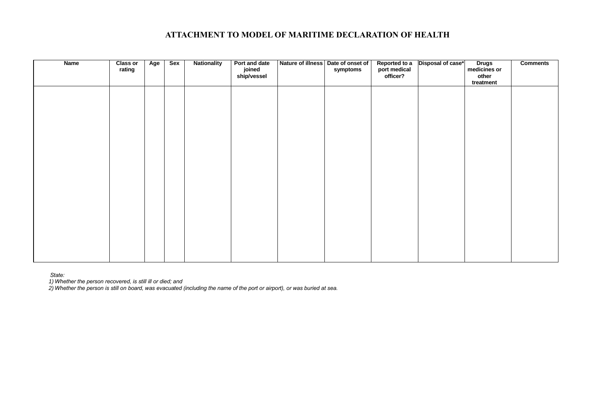# **ATTACHMENT TO MODEL OF MARITIME DECLARATION OF HEALTH**

| <b>Name</b> | <b>Class or</b><br>rating | Age | Sex | <b>Nationality</b> | Port and date<br>joined<br>ship/vessel | Nature of illness Date of onset of | symptoms | Reported to a<br>port medical<br>officer? | Disposal of case* | Drugs<br>medicines or<br>other<br>treatment | <b>Comments</b> |
|-------------|---------------------------|-----|-----|--------------------|----------------------------------------|------------------------------------|----------|-------------------------------------------|-------------------|---------------------------------------------|-----------------|
|             |                           |     |     |                    |                                        |                                    |          |                                           |                   |                                             |                 |
|             |                           |     |     |                    |                                        |                                    |          |                                           |                   |                                             |                 |
|             |                           |     |     |                    |                                        |                                    |          |                                           |                   |                                             |                 |
|             |                           |     |     |                    |                                        |                                    |          |                                           |                   |                                             |                 |
|             |                           |     |     |                    |                                        |                                    |          |                                           |                   |                                             |                 |
|             |                           |     |     |                    |                                        |                                    |          |                                           |                   |                                             |                 |
|             |                           |     |     |                    |                                        |                                    |          |                                           |                   |                                             |                 |

*State:*

*1) Whether the person recovered, is still ill or died; and*

2) Whether the person is still on board, was evacuated (including the name of the port or airport), or was buried at sea.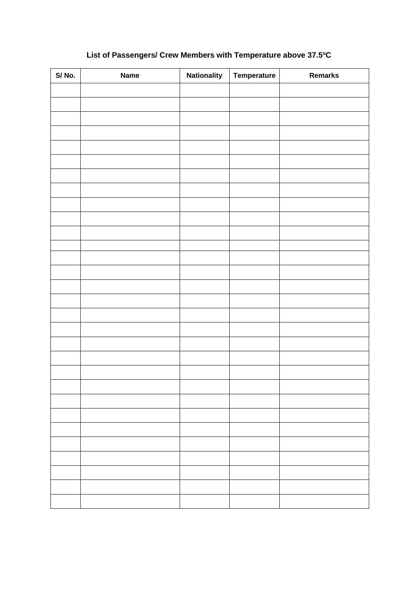# **List of Passengers/ Crew Members with Temperature above 37.5<sup>o</sup>C**

| S/No. | <b>Name</b> | <b>Nationality</b> | Temperature | Remarks |
|-------|-------------|--------------------|-------------|---------|
|       |             |                    |             |         |
|       |             |                    |             |         |
|       |             |                    |             |         |
|       |             |                    |             |         |
|       |             |                    |             |         |
|       |             |                    |             |         |
|       |             |                    |             |         |
|       |             |                    |             |         |
|       |             |                    |             |         |
|       |             |                    |             |         |
|       |             |                    |             |         |
|       |             |                    |             |         |
|       |             |                    |             |         |
|       |             |                    |             |         |
|       |             |                    |             |         |
|       |             |                    |             |         |
|       |             |                    |             |         |
|       |             |                    |             |         |
|       |             |                    |             |         |
|       |             |                    |             |         |
|       |             |                    |             |         |
|       |             |                    |             |         |
|       |             |                    |             |         |
|       |             |                    |             |         |
|       |             |                    |             |         |
|       |             |                    |             |         |
|       |             |                    |             |         |
|       |             |                    |             |         |
|       |             |                    |             |         |
|       |             |                    |             |         |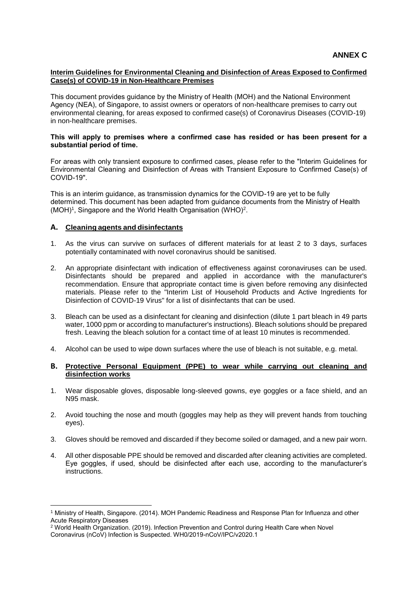# **Interim Guidelines for Environmental Cleaning and Disinfection of Areas Exposed to Confirmed Case(s) of COVID-19 in Non-Healthcare Premises**

This document provides guidance by the Ministry of Health (MOH) and the National Environment Agency (NEA), of Singapore, to assist owners or operators of non-healthcare premises to carry out environmental cleaning, for areas exposed to confirmed case(s) of Coronavirus Diseases (COVID-19) in non-healthcare premises.

#### **This will apply to premises where a confirmed case has resided or has been present for a substantial period of time.**

For areas with only transient exposure to confirmed cases, please refer to the "Interim Guidelines for Environmental Cleaning and Disinfection of Areas with Transient Exposure to Confirmed Case(s) of COVID-19".

This is an interim guidance, as transmission dynamics for the COVID-19 are yet to be fully determined. This document has been adapted from guidance documents from the Ministry of Health (MOH)<sup>1</sup>, Singapore and the World Health Organisation (WHO)<sup>2</sup>.

## **A. Cleaning agents and disinfectants**

1

- 1. As the virus can survive on surfaces of different materials for at least 2 to 3 days, surfaces potentially contaminated with novel coronavirus should be sanitised.
- 2. An appropriate disinfectant with indication of effectiveness against coronaviruses can be used. Disinfectants should be prepared and applied in accordance with the manufacturer's recommendation. Ensure that appropriate contact time is given before removing any disinfected materials. Please refer to the "Interim List of Household Products and Active Ingredients for Disinfection of COVID-19 Virus" for a list of disinfectants that can be used.
- 3. Bleach can be used as a disinfectant for cleaning and disinfection (dilute 1 part bleach in 49 parts water, 1000 ppm or according to manufacturer's instructions). Bleach solutions should be prepared fresh. Leaving the bleach solution for a contact time of at least 10 minutes is recommended.
- 4. Alcohol can be used to wipe down surfaces where the use of bleach is not suitable, e.g. metal.

# **B. Protective Personal Equipment (PPE) to wear while carrying out cleaning and disinfection works**

- 1. Wear disposable gloves, disposable long-sleeved gowns, eye goggles or a face shield, and an N95 mask.
- 2. Avoid touching the nose and mouth (goggles may help as they will prevent hands from touching eyes).
- 3. Gloves should be removed and discarded if they become soiled or damaged, and a new pair worn.
- 4. All other disposable PPE should be removed and discarded after cleaning activities are completed. Eye goggles, if used, should be disinfected after each use, according to the manufacturer's instructions.

<sup>1</sup> Ministry of Health, Singapore. (2014). MOH Pandemic Readiness and Response Plan for Influenza and other Acute Respiratory Diseases

<sup>2</sup> World Health Organization. (2019). Infection Prevention and Control during Health Care when Novel Coronavirus (nCoV) Infection is Suspected. WH0/2019-nCoV/IPC/v2020.1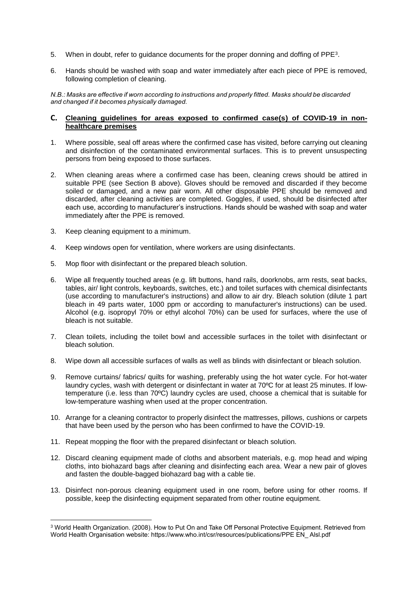- 5. When in doubt, refer to guidance documents for the proper donning and doffing of PPE<sup>3</sup>.
- 6. Hands should be washed with soap and water immediately after each piece of PPE is removed, following completion of cleaning.

*N.B.: Masks are effective if worn according to instructions and properly fitted. Masks should be discarded and changed if it becomes physically damaged.*

#### **C. Cleaning guidelines for areas exposed to confirmed case(s) of COVID-19 in nonhealthcare premises**

- 1. Where possible, seal off areas where the confirmed case has visited, before carrying out cleaning and disinfection of the contaminated environmental surfaces. This is to prevent unsuspecting persons from being exposed to those surfaces.
- 2. When cleaning areas where a confirmed case has been, cleaning crews should be attired in suitable PPE (see Section B above). Gloves should be removed and discarded if they become soiled or damaged, and a new pair worn. All other disposable PPE should be removed and discarded, after cleaning activities are completed. Goggles, if used, should be disinfected after each use, according to manufacturer's instructions. Hands should be washed with soap and water immediately after the PPE is removed.
- 3. Keep cleaning equipment to a minimum.

<u>.</u>

- 4. Keep windows open for ventilation, where workers are using disinfectants.
- 5. Mop floor with disinfectant or the prepared bleach solution.
- 6. Wipe all frequently touched areas (e.g. lift buttons, hand rails, doorknobs, arm rests, seat backs, tables, air/ light controls, keyboards, switches, etc.) and toilet surfaces with chemical disinfectants (use according to manufacturer's instructions) and allow to air dry. Bleach solution (dilute 1 part bleach in 49 parts water, 1000 ppm or according to manufacturer's instructions) can be used. Alcohol (e.g. isopropyl 70% or ethyl alcohol 70%) can be used for surfaces, where the use of bleach is not suitable.
- 7. Clean toilets, including the toilet bowl and accessible surfaces in the toilet with disinfectant or bleach solution.
- 8. Wipe down all accessible surfaces of walls as well as blinds with disinfectant or bleach solution.
- 9. Remove curtains/ fabrics/ quilts for washing, preferably using the hot water cycle. For hot-water laundry cycles, wash with detergent or disinfectant in water at 70ºC for at least 25 minutes. If lowtemperature (i.e. less than 70ºC) laundry cycles are used, choose a chemical that is suitable for low-temperature washing when used at the proper concentration.
- 10. Arrange for a cleaning contractor to properly disinfect the mattresses, pillows, cushions or carpets that have been used by the person who has been confirmed to have the COVID-19.
- 11. Repeat mopping the floor with the prepared disinfectant or bleach solution.
- 12. Discard cleaning equipment made of cloths and absorbent materials, e.g. mop head and wiping cloths, into biohazard bags after cleaning and disinfecting each area. Wear a new pair of gloves and fasten the double-bagged biohazard bag with a cable tie.
- 13. Disinfect non-porous cleaning equipment used in one room, before using for other rooms. If possible, keep the disinfecting equipment separated from other routine equipment.

<sup>3</sup> World Health Organization. (2008). How to Put On and Take Off Personal Protective Equipment. Retrieved from World Health Organisation website: https://www.who.int/csr/resources/publications/PPE EN\_ Alsl.pdf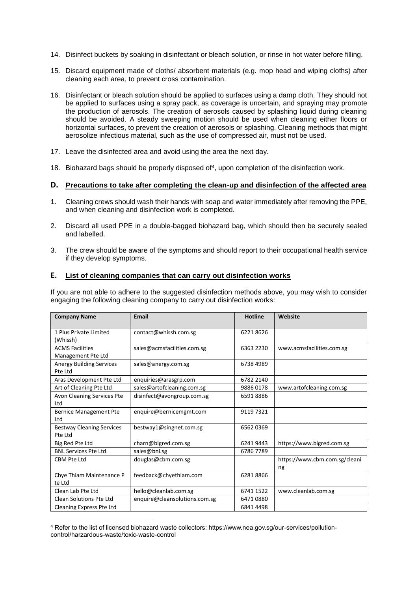- 14. Disinfect buckets by soaking in disinfectant or bleach solution, or rinse in hot water before filling.
- 15. Discard equipment made of cloths/ absorbent materials (e.g. mop head and wiping cloths) after cleaning each area, to prevent cross contamination.
- 16. Disinfectant or bleach solution should be applied to surfaces using a damp cloth. They should not be applied to surfaces using a spray pack, as coverage is uncertain, and spraying may promote the production of aerosols. The creation of aerosols caused by splashing liquid during cleaning should be avoided. A steady sweeping motion should be used when cleaning either floors or horizontal surfaces, to prevent the creation of aerosols or splashing. Cleaning methods that might aerosolize infectious material, such as the use of compressed air, must not be used.
- 17. Leave the disinfected area and avoid using the area the next day.
- 18. Biohazard bags should be properly disposed of<sup>4</sup>, upon completion of the disinfection work.

## **D. Precautions to take after completing the clean-up and disinfection of the affected area**

- 1. Cleaning crews should wash their hands with soap and water immediately after removing the PPE, and when cleaning and disinfection work is completed.
- 2. Discard all used PPE in a double-bagged biohazard bag, which should then be securely sealed and labelled.
- 3. The crew should be aware of the symptoms and should report to their occupational health service if they develop symptoms.

## **E. List of cleaning companies that can carry out disinfection works**

If you are not able to adhere to the suggested disinfection methods above, you may wish to consider engaging the following cleaning company to carry out disinfection works:

| <b>Company Name</b>                          | <b>Email</b>                  | <b>Hotline</b> | Website                             |  |
|----------------------------------------------|-------------------------------|----------------|-------------------------------------|--|
| 1 Plus Private Limited<br>(Whissh)           | contact@whissh.com.sg         | 62218626       |                                     |  |
| <b>ACMS Facilities</b><br>Management Pte Ltd | sales@acmsfacilities.com.sg   | 6363 2230      | www.acmsfacilities.com.sg           |  |
| <b>Anergy Building Services</b><br>Pte Ltd   | sales@anergy.com.sg           | 6738 4989      |                                     |  |
| Aras Development Pte Ltd                     | enquiries@arasgrp.com         | 6782 2140      |                                     |  |
| Art of Cleaning Pte Ltd                      | sales@artofcleaning.com.sg    | 98860178       | www.artofcleaning.com.sg            |  |
| Avon Cleaning Services Pte<br>Ltd            | disinfect@avongroup.com.sg    | 65918886       |                                     |  |
| <b>Bernice Management Pte</b><br>Ltd         | enquire@bernicemgmt.com       | 9119 7321      |                                     |  |
| <b>Bestway Cleaning Services</b><br>Pte Ltd  | bestway1@singnet.com.sg       | 65620369       |                                     |  |
| Big Red Pte Ltd                              | charn@bigred.com.sg           | 62419443       | https://www.bigred.com.sg           |  |
| <b>BNL Services Pte Ltd</b>                  | sales@bnl.sg                  | 67867789       |                                     |  |
| <b>CBM Pte Ltd</b>                           | douglas@cbm.com.sg            |                | https://www.cbm.com.sg/cleani<br>ng |  |
| Chye Thiam Maintenance P<br>te Ltd           | feedback@chyethiam.com        | 62818866       |                                     |  |
| Clean Lab Pte Ltd                            | hello@cleanlab.com.sg         | 6741 1522      | www.cleanlab.com.sg                 |  |
| <b>Clean Solutions Pte Ltd</b>               | enquire@cleansolutions.com.sg | 64710880       |                                     |  |
| Cleaning Express Pte Ltd                     |                               | 68414498       |                                     |  |

<sup>&</sup>lt;u>.</u> <sup>4</sup> Refer to the list of licensed biohazard waste collectors: https://www.nea.gov.sg/our-services/pollutioncontrol/harzardous-waste/toxic-waste-control